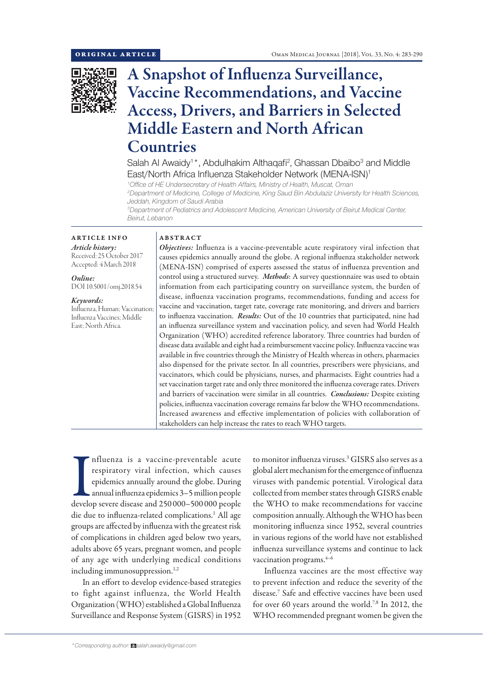

# A Snapshot of Influenza Surveillance, Vaccine Recommendations, and Vaccine Access, Drivers, and Barriers in Selected Middle Eastern and North African Countries

Salah Al Awaidy<sup>1\*</sup>, Abdulhakim Althaqafi<sup>2</sup>, Ghassan Dbaibo<sup>3</sup> and Middle East/North Africa Influenza Stakeholder Network (MENA-ISN)<sup>1</sup>

*1 Office of HE Undersecretary of Health Affairs, Ministry of Health, Muscat, Oman*

*2 Department of Medicine, College of Medicine, King Saud Bin Abdulaziz University for Health Sciences, Jeddah, Kingdom of Saudi Arabia*

*3 Department of Pediatrics and Adolescent Medicine, American University of Beirut Medical Center, Beirut, Lebanon*

## ARTICLE INFO *Article history:*

Received: 25 October 2017 Accepted: 4 March 2018

*Online:* DOI 10.5001/omj.2018.54

*Keywords:*  Influenza, Human; Vaccination; Influenza Vaccines; Middle East; North Africa.

# ABSTRACT

*Objectives:* Influenza is a vaccine-preventable acute respiratory viral infection that causes epidemics annually around the globe. A regional influenza stakeholder network (MENA-ISN) comprised of experts assessed the status of influenza prevention and control using a structured survey. *Methods*: A survey questionnaire was used to obtain information from each participating country on surveillance system, the burden of disease, influenza vaccination programs, recommendations, funding and access for vaccine and vaccination, target rate, coverage rate monitoring, and drivers and barriers to influenza vaccination. *Results:* Out of the 10 countries that participated, nine had an influenza surveillance system and vaccination policy, and seven had World Health Organization (WHO) accredited reference laboratory. Three countries had burden of disease data available and eight had a reimbursement vaccine policy. Influenza vaccine was available in five countries through the Ministry of Health whereas in others, pharmacies also dispensed for the private sector. In all countries, prescribers were physicians, and vaccinators, which could be physicians, nurses, and pharmacists. Eight countries had a set vaccination target rate and only three monitored the influenza coverage rates. Drivers and barriers of vaccination were similar in all countries. *Conclusions:* Despite existing policies, influenza vaccination coverage remains far below the WHO recommendations. Increased awareness and effective implementation of policies with collaboration of stakeholders can help increase the rates to reach WHO targets.

Improvementable acute<br>respiratory viral infection, which causes<br>epidemics annually around the globe. During<br>annual influenza epidemics 3–5 million people<br>develop severe disease and 250 000–500 000 people nfluenza is a vaccine-preventable acute respiratory viral infection, which causes epidemics annually around the globe. During annual influenza epidemics 3–5 million people die due to influenza-related complications.<sup>1</sup> All age groups are affected by influenza with the greatest risk of complications in children aged below two years, adults above 65 years, pregnant women, and people of any age with underlying medical conditions including immunosuppression.<sup>1,2</sup>

In an effort to develop evidence-based strategies to fight against influenza, the World Health Organization (WHO) established a Global Influenza Surveillance and Response System (GISRS) in 1952

to monitor influenza viruses.<sup>3</sup> GISRS also serves as a global alert mechanism for the emergence of influenza viruses with pandemic potential. Virological data collected from member states through GISRS enable the WHO to make recommendations for vaccine composition annually. Although the WHO has been monitoring influenza since 1952, several countries in various regions of the world have not established influenza surveillance systems and continue to lack vaccination programs. $4-6$ 

Influenza vaccines are the most effective way to prevent infection and reduce the severity of the disease.7 Safe and effective vaccines have been used for over 60 years around the world.<sup>7,8</sup> In 2012, the WHO recommended pregnant women be given the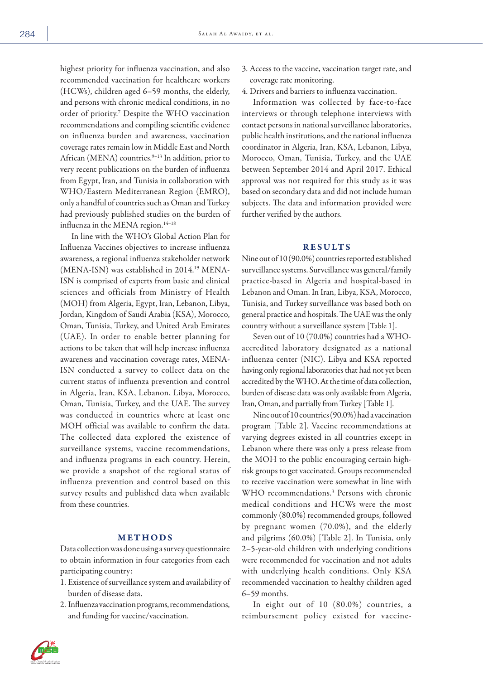highest priority for influenza vaccination, and also recommended vaccination for healthcare workers (HCWs), children aged 6–59 months, the elderly, and persons with chronic medical conditions, in no order of priority.7 Despite the WHO vaccination recommendations and compiling scientific evidence on influenza burden and awareness, vaccination coverage rates remain low in Middle East and North African (MENA) countries.<sup>9-13</sup> In addition, prior to very recent publications on the burden of influenza from Egypt, Iran, and Tunisia in collaboration with WHO/Eastern Mediterranean Region (EMRO), only a handful of countries such as Oman and Turkey had previously published studies on the burden of influenza in the MENA region.<sup>14-18</sup>

In line with the WHO's Global Action Plan for Influenza Vaccines objectives to increase influenza awareness, a regional influenza stakeholder network (MENA-ISN) was established in 2014.<sup>19</sup> MENA-ISN is comprised of experts from basic and clinical sciences and officials from Ministry of Health (MOH) from Algeria, Egypt, Iran, Lebanon, Libya, Jordan, Kingdom of Saudi Arabia (KSA), Morocco, Oman, Tunisia, Turkey, and United Arab Emirates (UAE). In order to enable better planning for actions to be taken that will help increase influenza awareness and vaccination coverage rates, MENA-ISN conducted a survey to collect data on the current status of influenza prevention and control in Algeria, Iran, KSA, Lebanon, Libya, Morocco, Oman, Tunisia, Turkey, and the UAE. The survey was conducted in countries where at least one MOH official was available to confirm the data. The collected data explored the existence of surveillance systems, vaccine recommendations, and influenza programs in each country. Herein, we provide a snapshot of the regional status of influenza prevention and control based on this survey results and published data when available from these countries.

## METHODS

Data collection was done using a survey questionnaire to obtain information in four categories from each participating country:

- 1. Existence of surveillance system and availability of burden of disease data.
- 2. Influenza vaccination programs, recommendations, and funding for vaccine/vaccination.
- 3. Access to the vaccine, vaccination target rate, and coverage rate monitoring.
- 4. Drivers and barriers to influenza vaccination.

Information was collected by face-to-face interviews or through telephone interviews with contact persons in national surveillance laboratories, public health institutions, and the national influenza coordinator in Algeria, Iran, KSA, Lebanon, Libya, Morocco, Oman, Tunisia, Turkey, and the UAE between September 2014 and April 2017. Ethical approval was not required for this study as it was based on secondary data and did not include human subjects. The data and information provided were further verified by the authors.

# RESULTS

Nine out of 10 (90.0%) countries reported established surveillance systems. Surveillance was general/family practice-based in Algeria and hospital-based in Lebanon and Oman. In Iran, Libya, KSA, Morocco, Tunisia, and Turkey surveillance was based both on general practice and hospitals. The UAE was the only country without a surveillance system [Table 1].

Seven out of 10 (70.0%) countries had a WHOaccredited laboratory designated as a national influenza center (NIC). Libya and KSA reported having only regional laboratories that had not yet been accredited by the WHO. At the time of data collection, burden of disease data was only available from Algeria, Iran, Oman, and partially from Turkey [Table 1].

Nine out of 10 countries (90.0%) had a vaccination program [Table 2]. Vaccine recommendations at varying degrees existed in all countries except in Lebanon where there was only a press release from the MOH to the public encouraging certain highrisk groups to get vaccinated. Groups recommended to receive vaccination were somewhat in line with WHO recommendations.3 Persons with chronic medical conditions and HCWs were the most commonly (80.0%) recommended groups, followed by pregnant women (70.0%), and the elderly and pilgrims (60.0%) [Table 2]. In Tunisia, only 2–5-year-old children with underlying conditions were recommended for vaccination and not adults with underlying health conditions. Only KSA recommended vaccination to healthy children aged 6–59 months.

In eight out of 10 (80.0%) countries, a reimbursement policy existed for vaccine-

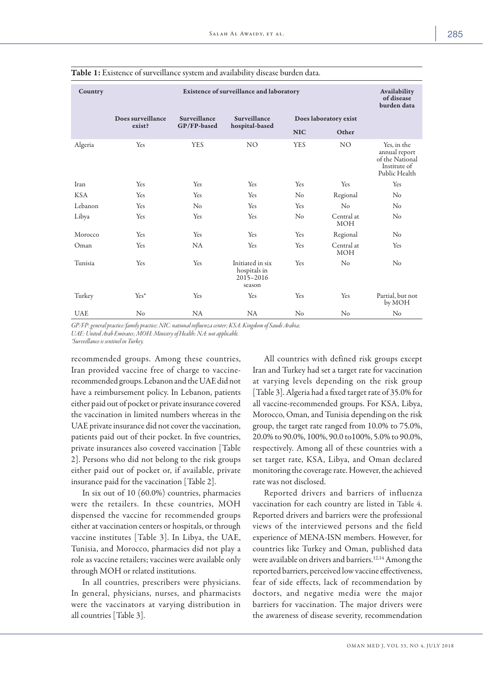| Country    |                             |                             | Existence of surveillance and laboratory                |                |                          | Availability<br>of disease<br>burden data                                        |
|------------|-----------------------------|-----------------------------|---------------------------------------------------------|----------------|--------------------------|----------------------------------------------------------------------------------|
|            | Does surveillance<br>exist? | Surveillance<br>GP/FP-based | Surveillance                                            |                | Does laboratory exist    |                                                                                  |
|            |                             |                             | hospital-based                                          | <b>NIC</b>     | Other                    |                                                                                  |
| Algeria    | Yes                         | <b>YES</b>                  | NO <sub>1</sub>                                         | <b>YES</b>     | NO <sub>1</sub>          | Yes, in the<br>annual report<br>of the National<br>Institute of<br>Public Health |
| Iran       | Yes                         | Yes                         | Yes                                                     | Yes            | Yes                      | Yes                                                                              |
| <b>KSA</b> | Yes                         | Yes                         | Yes                                                     | No             | Regional                 | $\rm No$                                                                         |
| Lebanon    | Yes                         | No                          | Yes                                                     | Yes            | No                       | No                                                                               |
| Libya      | Yes                         | Yes                         | Yes                                                     | No             | Central at<br><b>MOH</b> | No                                                                               |
| Morocco    | Yes                         | Yes                         | Yes                                                     | Yes            | Regional                 | No                                                                               |
| Oman       | Yes                         | NA                          | Yes                                                     | Yes            | Central at<br><b>MOH</b> | Yes                                                                              |
| Tunisia    | Yes                         | Yes                         | Initiated in six<br>hospitals in<br>2015-2016<br>season | Yes            | No                       | No                                                                               |
| Turkey     | Yes*                        | Yes                         | Yes                                                     | Yes            | Yes                      | Partial, but not<br>by MOH                                                       |
| <b>UAE</b> | No                          | <b>NA</b>                   | <b>NA</b>                                               | N <sub>o</sub> | No                       | No                                                                               |

Table 1: Existence of surveillance system and availability disease burden data.

*GP/FP: general practice/family practice; NIC: national influenza center; KSA: Kingdom of Saudi Arabia; UAE: United Arab Emirates; MOH: Ministry of Health; NA: not applicable. \*Surveillance is sentinel in Turkey.*

recommended groups. Among these countries, Iran provided vaccine free of charge to vaccinerecommended groups. Lebanon and the UAE did not have a reimbursement policy. In Lebanon, patients either paid out of pocket or private insurance covered the vaccination in limited numbers whereas in the UAE private insurance did not cover the vaccination, patients paid out of their pocket. In five countries, private insurances also covered vaccination [Table 2]. Persons who did not belong to the risk groups either paid out of pocket or, if available, private insurance paid for the vaccination [Table 2].

In six out of 10 (60.0%) countries, pharmacies were the retailers. In these countries, MOH dispensed the vaccine for recommended groups either at vaccination centers or hospitals, or through vaccine institutes [Table 3]. In Libya, the UAE, Tunisia, and Morocco, pharmacies did not play a role as vaccine retailers; vaccines were available only through MOH or related institutions.

In all countries, prescribers were physicians. In general, physicians, nurses, and pharmacists were the vaccinators at varying distribution in all countries [Table 3].

All countries with defined risk groups except Iran and Turkey had set a target rate for vaccination at varying levels depending on the risk group [Table 3]. Algeria had a fixed target rate of 35.0% for all vaccine-recommended groups. For KSA, Libya, Morocco, Oman, and Tunisia depending on the risk group, the target rate ranged from 10.0% to 75.0%, 20.0% to 90.0%, 100%, 90.0 to100%, 5.0% to 90.0%, respectively. Among all of these countries with a set target rate, KSA, Libya, and Oman declared monitoring the coverage rate. However, the achieved rate was not disclosed.

Reported drivers and barriers of influenza vaccination for each country are listed in Table 4. Reported drivers and barriers were the professional views of the interviewed persons and the field experience of MENA-ISN members. However, for countries like Turkey and Oman, published data were available on drivers and barriers.<sup>12,14</sup> Among the reported barriers, perceived low vaccine effectiveness, fear of side effects, lack of recommendation by doctors, and negative media were the major barriers for vaccination. The major drivers were the awareness of disease severity, recommendation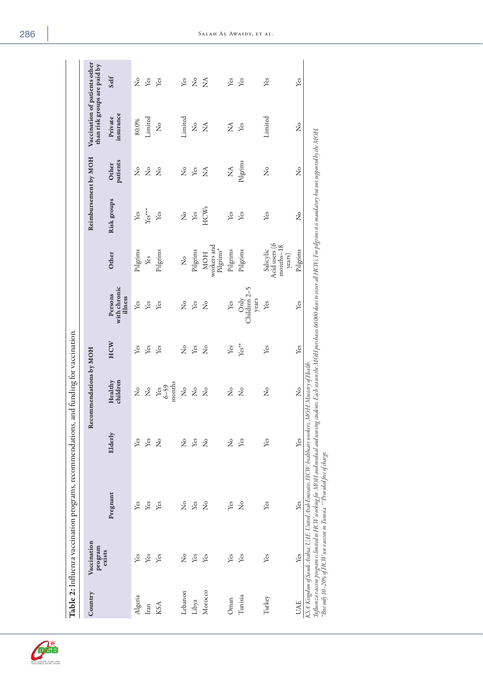|            |                        | Table 2: Influenza vaccination programs, recommendations, and funding for vaccination.                                                                                                                                                                                                                                                                                                                            |                       |                           |         |                                    |                                                   |                       |                           |                                                               |             |
|------------|------------------------|-------------------------------------------------------------------------------------------------------------------------------------------------------------------------------------------------------------------------------------------------------------------------------------------------------------------------------------------------------------------------------------------------------------------|-----------------------|---------------------------|---------|------------------------------------|---------------------------------------------------|-----------------------|---------------------------|---------------------------------------------------------------|-------------|
| Country    | Vaccination<br>program |                                                                                                                                                                                                                                                                                                                                                                                                                   |                       | Recommendations by MOH    |         |                                    |                                                   | Reimbursement by MOH  |                           | Vaccination of patients other<br>than risk groups are paid by |             |
|            | exists                 | Pregnant                                                                                                                                                                                                                                                                                                                                                                                                          | Elderly               | children<br>Healthy       | HCW     | with chronic<br>Persons<br>illness | Other                                             | Risk groups           | patients<br>Other         | insurance<br>Private                                          | Self        |
| Algeria    | Yes                    | Yes                                                                                                                                                                                                                                                                                                                                                                                                               | Yes                   | ż                         | Yes     | Yes                                | Pilgrims                                          | Yes                   | ż                         | 80.0%                                                         | ż           |
| Iran       | Yes                    | Yes                                                                                                                                                                                                                                                                                                                                                                                                               | Yes                   | $\mathsf{S}^{\mathsf{o}}$ | Yes     | Yes                                | Yes                                               | $Yes***$              | ż                         | Limited                                                       | Yes         |
| KSA        | Yes                    | Yes                                                                                                                                                                                                                                                                                                                                                                                                               | $\tilde{z}$           | months<br>$6 - 59$<br>Yes | Yes     | Yes                                | Pilgrims                                          | Yes                   | ż                         | ż                                                             | Yes         |
| Lebanon    | $\mathcal{L}^{\circ}$  | $\mathcal{L}^{\circ}$                                                                                                                                                                                                                                                                                                                                                                                             | $\mathcal{L}^{\circ}$ | ż                         | ż       | ż                                  | ż                                                 | $\mathcal{L}^{\circ}$ | ż                         | Limited                                                       | Yes         |
| Libya      | Yes                    | Yes                                                                                                                                                                                                                                                                                                                                                                                                               | Yes                   | $\mathcal{L}^{\circ}$     | Yes     | Yes                                | Pilgrims                                          | Yes                   | Yes                       | $\mathcal{\overset{\circ}{\mathsf{z}}}$                       | ž           |
| Morocco    | Yes                    | $\frac{1}{2}$                                                                                                                                                                                                                                                                                                                                                                                                     | $\tilde{z}$           | $\mathcal{L}^{\circ}$     | ž       | ż                                  | workers and<br>Pilgrims*<br><b>NOH</b>            | <b>HCWs</b>           | $\lessapprox$             | $\lessapprox$                                                 | $\tilde{z}$ |
| Oman       | Yes                    | Yes                                                                                                                                                                                                                                                                                                                                                                                                               | $\mathcal{L}^{\circ}$ | $\mathcal{L}^{\circ}$     | Yes     | Yes                                | Pilgrims                                          | Yes                   | $\mathbb{E}^{\mathsf{A}}$ | $\tilde{z}$                                                   | Yes         |
| Tunisia    | Yes                    | $\frac{1}{2}$                                                                                                                                                                                                                                                                                                                                                                                                     | Yes                   | $\tilde{z}$               | $Yes**$ | Children 2-5<br>Only<br>years      | Pilgrims                                          | Yes                   | Pilgrims                  | Yes                                                           | Yes         |
| Turkey     | Yes                    | Yes                                                                                                                                                                                                                                                                                                                                                                                                               | Yes                   | ž                         | Yes     | Yes                                | Acid users (6<br>months-18<br>Salicylic<br>years) | Yes                   | ż                         | Limited                                                       | Yes         |
| <b>UAE</b> | Yes                    | Yes                                                                                                                                                                                                                                                                                                                                                                                                               | Yes                   | $\frac{1}{2}$             | Yes     | Yes                                | Pilgrims                                          | ż                     | ż                         | ż                                                             | Yes         |
|            |                        | Influenza vaccine program is limited to HCW working for MOH and mehical and moring students. Each season the MOH purchases 60 000 doses to cover all HCWs. Fer pilgrims it is mandatory but not supported by the MOH.<br>KSA: Kingdom of Saudi Arabia; UAE: United Arab Emirates; HCW: healthcare workers; MOH: Ministry of Health.<br>"But only 10–20% of HCW use vaccine in Tunisia. **Provided free of charge. |                       |                           |         |                                    |                                                   |                       |                           |                                                               |             |

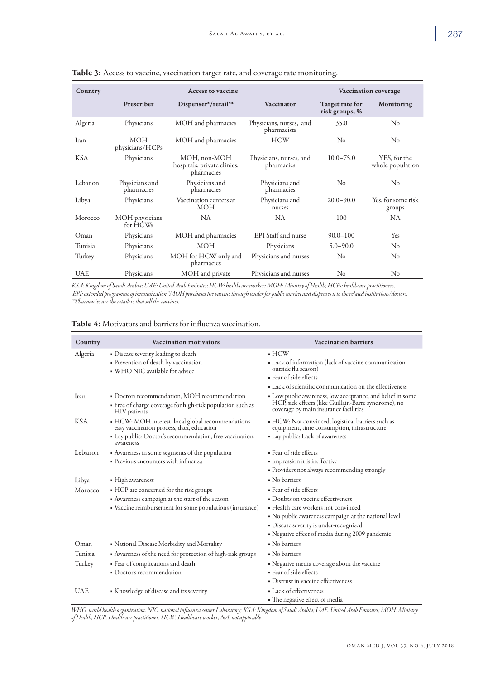| Country    |                               | <b>Access to vaccine</b>                                  |                                        |                                   | Vaccination coverage             |
|------------|-------------------------------|-----------------------------------------------------------|----------------------------------------|-----------------------------------|----------------------------------|
|            | Prescriber                    | Dispenser*/retail**                                       | Vaccinator                             | Target rate for<br>risk groups, % | Monitoring                       |
| Algeria    | Physicians                    | MOH and pharmacies                                        | Physicians, nurses, and<br>pharmacists | 35.0                              | No                               |
| Iran       | <b>MOH</b><br>physicians/HCPs | MOH and pharmacies                                        | <b>HCW</b>                             | $\rm No$                          | No                               |
| <b>KSA</b> | Physicians                    | MOH, non-MOH<br>hospitals, private clinics,<br>pharmacies | Physicians, nurses, and<br>pharmacies  | $10.0 - 75.0$                     | YES, for the<br>whole population |
| Lebanon    | Physicians and<br>pharmacies  | Physicians and<br>pharmacies                              | Physicians and<br>pharmacies           | No                                | $\rm No$                         |
| Libya      | Physicians                    | Vaccination centers at<br><b>MOH</b>                      | Physicians and<br>nurses               | $20.0 - 90.0$                     | Yes, for some risk<br>groups     |
| Morocco    | MOH physicians<br>for HCWs    | NA.                                                       | NA                                     | 100                               | NA.                              |
| Oman       | Physicians                    | MOH and pharmacies                                        | EPI Staff and nurse                    | $90.0 - 100$                      | Yes                              |
| Tunisia    | Physicians                    | <b>MOH</b>                                                | Physicians                             | $5.0 - 90.0$                      | $\rm No$                         |
| Turkey     | Physicians                    | MOH for HCW only and<br>pharmacies                        | Physicians and nurses                  | No                                | No                               |
| <b>UAE</b> | Physicians                    | MOH and private                                           | Physicians and nurses                  | N <sub>o</sub>                    | $\rm No$                         |

| Table 3: Access to vaccine, vaccination target rate, and coverage rate monitoring |  |
|-----------------------------------------------------------------------------------|--|

*KSA: Kingdom of Saudi Arabia; UAE: United Arab Emirates; HCW: healthcare worker; MOH: Ministry of Health; HCPs: healthcare practitioners, EPI: extended programme of immunization.\*MOH purchases the vaccine through tender for public market and dispenses it to the related institutions/doctors. \*\*Pharmacies are the retailers that sell the vaccines.*

| Country    | <b>Vaccination motivators</b>                                                                                                                                            | <b>Vaccination barriers</b>                                                                                                                                                                                                                             |
|------------|--------------------------------------------------------------------------------------------------------------------------------------------------------------------------|---------------------------------------------------------------------------------------------------------------------------------------------------------------------------------------------------------------------------------------------------------|
| Algeria    | • Disease severity leading to death<br>• Prevention of death by vaccination<br>. WHO NIC available for advice                                                            | $\blacksquare$ HCW<br>• Lack of information (lack of vaccine communication<br>outside flu season)<br>• Fear of side effects<br>• Lack of scientific communication on the effectiveness                                                                  |
| Iran       | • Doctors recommendation, MOH recommendation<br>• Free of charge coverage for high-risk population such as<br><b>HIV</b> patients                                        | • Low public awareness, low acceptance, and belief in some<br>HCP, side effects (like Guillain-Barre syndrome), no<br>coverage by main insurance facilities                                                                                             |
| <b>KSA</b> | • HCW: MOH interest, local global recommendations,<br>easy vaccination process, data, education<br>• Lay public: Doctor's recommendation, free vaccination,<br>awareness | • HCW: Not convinced, logistical barriers such as<br>equipment, time consumption, infrastructure<br>· Lay public: Lack of awareness                                                                                                                     |
| Lebanon    | • Awareness in some segments of the population<br>· Previous encounters with influenza                                                                                   | • Fear of side effects<br>• Impression it is ineffective<br>• Providers not always recommending strongly                                                                                                                                                |
| Libya      | • High awareness                                                                                                                                                         | • No barriers                                                                                                                                                                                                                                           |
| Morocco    | • HCP are concerned for the risk groups<br>• Awareness campaign at the start of the season<br>• Vaccine reimbursement for some populations (insurance)                   | · Fear of side effects<br>• Doubts on vaccine effectiveness<br>· Health care workers not convinced<br>• No public awareness campaign at the national level<br>· Disease severity is under-recognized<br>• Negative effect of media during 2009 pandemic |
| Oman       | • National Disease Morbidity and Mortality                                                                                                                               | • No barriers                                                                                                                                                                                                                                           |
| Tunisia    | • Awareness of the need for protection of high-risk groups                                                                                                               | • No barriers                                                                                                                                                                                                                                           |
| Turkey     | • Fear of complications and death<br>· Doctor's recommendation                                                                                                           | · Negative media coverage about the vaccine<br>· Fear of side effects<br>• Distrust in vaccine effectiveness                                                                                                                                            |
| <b>UAE</b> | • Knowledge of disease and its severity                                                                                                                                  | • Lack of effectiveness<br>• The negative effect of media                                                                                                                                                                                               |

Table 4: Motivators and barriers for influenza vaccination.

*WHO: world health organization; NIC: national influenza center Laboratory; KSA: Kingdom of Saudi Arabia; UAE: United Arab Emirates; MOH: Ministry of Health; HCP: Healthcare practitioner; HCW: Healthcare worker; NA: not applicable.*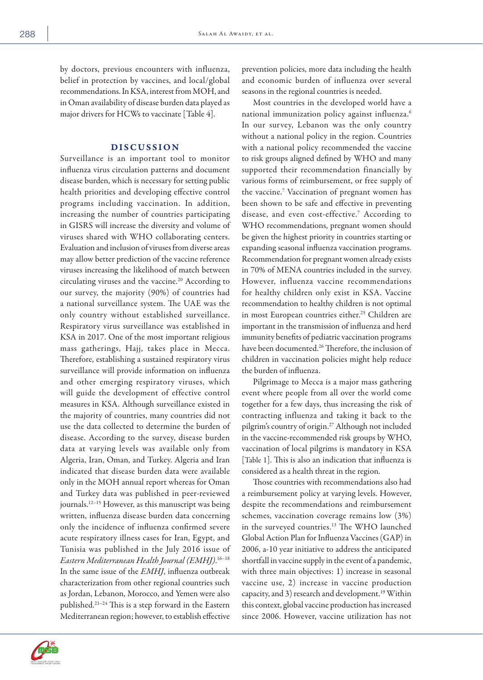by doctors, previous encounters with influenza, belief in protection by vaccines, and local/global recommendations. In KSA, interest from MOH, and in Oman availability of disease burden data played as major drivers for HCWs to vaccinate [Table 4].

## DISCUSSION

Surveillance is an important tool to monitor influenza virus circulation patterns and document disease burden, which is necessary for setting public health priorities and developing effective control programs including vaccination. In addition, increasing the number of countries participating in GISRS will increase the diversity and volume of viruses shared with WHO collaborating centers. Evaluation and inclusion of viruses from diverse areas may allow better prediction of the vaccine reference viruses increasing the likelihood of match between circulating viruses and the vaccine.<sup>20</sup> According to our survey, the majority (90%) of countries had a national surveillance system. The UAE was the only country without established surveillance. Respiratory virus surveillance was established in KSA in 2017. One of the most important religious mass gatherings, Hajj, takes place in Mecca. Therefore, establishing a sustained respiratory virus surveillance will provide information on influenza and other emerging respiratory viruses, which will guide the development of effective control measures in KSA. Although surveillance existed in the majority of countries, many countries did not use the data collected to determine the burden of disease. According to the survey, disease burden data at varying levels was available only from Algeria, Iran, Oman, and Turkey. Algeria and Iran indicated that disease burden data were available only in the MOH annual report whereas for Oman and Turkey data was published in peer-reviewed journals.12–15 However, as this manuscript was being written, influenza disease burden data concerning only the incidence of influenza confirmed severe acute respiratory illness cases for Iran, Egypt, and Tunisia was published in the July 2016 issue of *Eastern Mediterranean Health Journal (EMHJ)*. 16–18 In the same issue of the *EMHJ*, influenza outbreak characterization from other regional countries such as Jordan, Lebanon, Morocco, and Yemen were also published.21–24 This is a step forward in the Eastern Mediterranean region; however, to establish effective

prevention policies, more data including the health and economic burden of influenza over several seasons in the regional countries is needed.

Most countries in the developed world have a national immunization policy against influenza.6 In our survey, Lebanon was the only country without a national policy in the region. Countries with a national policy recommended the vaccine to risk groups aligned defined by WHO and many supported their recommendation financially by various forms of reimbursement, or free supply of the vaccine.7 Vaccination of pregnant women has been shown to be safe and effective in preventing disease, and even cost-effective.<sup>7</sup> According to WHO recommendations, pregnant women should be given the highest priority in countries starting or expanding seasonal influenza vaccination programs. Recommendation for pregnant women already exists in 70% of MENA countries included in the survey. However, influenza vaccine recommendations for healthy children only exist in KSA. Vaccine recommendation to healthy children is not optimal in most European countries either.<sup>25</sup> Children are important in the transmission of influenza and herd immunity benefits of pediatric vaccination programs have been documented.<sup>26</sup> Therefore, the inclusion of children in vaccination policies might help reduce the burden of influenza.

Pilgrimage to Mecca is a major mass gathering event where people from all over the world come together for a few days, thus increasing the risk of contracting influenza and taking it back to the pilgrim's country of origin.27 Although not included in the vaccine-recommended risk groups by WHO, vaccination of local pilgrims is mandatory in KSA [Table 1]. This is also an indication that influenza is considered as a health threat in the region.

Those countries with recommendations also had a reimbursement policy at varying levels. However, despite the recommendations and reimbursement schemes, vaccination coverage remains low (3%) in the surveyed countries.13 The WHO launched Global Action Plan for Influenza Vaccines (GAP) in 2006, a-10 year initiative to address the anticipated shortfall in vaccine supply in the event of a pandemic, with three main objectives: 1) increase in seasonal vaccine use, 2) increase in vaccine production capacity, and 3) research and development.19 Within this context, global vaccine production has increased since 2006. However, vaccine utilization has not

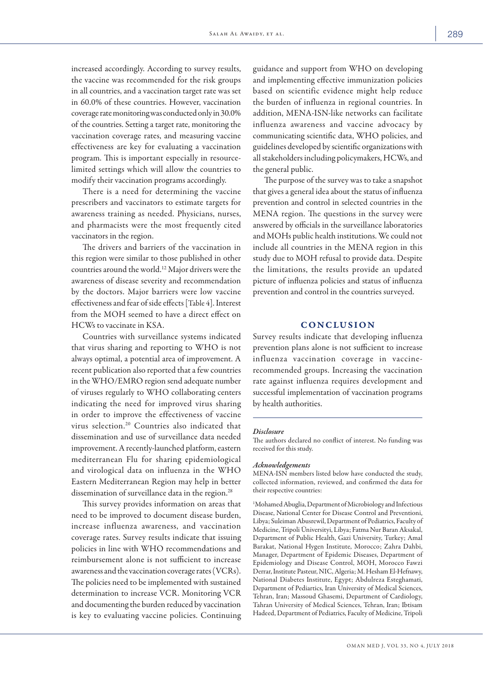increased accordingly. According to survey results, the vaccine was recommended for the risk groups in all countries, and a vaccination target rate was set in 60.0% of these countries. However, vaccination coverage rate monitoring was conducted only in 30.0% of the countries. Setting a target rate, monitoring the vaccination coverage rates, and measuring vaccine effectiveness are key for evaluating a vaccination program. This is important especially in resourcelimited settings which will allow the countries to modify their vaccination programs accordingly.

There is a need for determining the vaccine prescribers and vaccinators to estimate targets for awareness training as needed. Physicians, nurses, and pharmacists were the most frequently cited vaccinators in the region.

The drivers and barriers of the vaccination in this region were similar to those published in other countries around the world.12 Major drivers were the awareness of disease severity and recommendation by the doctors. Major barriers were low vaccine effectiveness and fear of side effects [Table 4]. Interest from the MOH seemed to have a direct effect on HCWs to vaccinate in KSA.

Countries with surveillance systems indicated that virus sharing and reporting to WHO is not always optimal, a potential area of improvement. A recent publication also reported that a few countries in the WHO/EMRO region send adequate number of viruses regularly to WHO collaborating centers indicating the need for improved virus sharing in order to improve the effectiveness of vaccine virus selection.20 Countries also indicated that dissemination and use of surveillance data needed improvement. A recently-launched platform, eastern mediterranean Flu for sharing epidemiological and virological data on influenza in the WHO Eastern Mediterranean Region may help in better dissemination of surveillance data in the region.<sup>28</sup>

This survey provides information on areas that need to be improved to document disease burden, increase influenza awareness, and vaccination coverage rates. Survey results indicate that issuing policies in line with WHO recommendations and reimbursement alone is not sufficient to increase awareness and the vaccination coverage rates (VCRs). The policies need to be implemented with sustained determination to increase VCR. Monitoring VCR and documenting the burden reduced by vaccination is key to evaluating vaccine policies. Continuing

guidance and support from WHO on developing and implementing effective immunization policies based on scientific evidence might help reduce the burden of influenza in regional countries. In addition, MENA-ISN-like networks can facilitate influenza awareness and vaccine advocacy by communicating scientific data, WHO policies, and guidelines developed by scientific organizations with all stakeholders including policymakers, HCWs, and the general public.

The purpose of the survey was to take a snapshot that gives a general idea about the status of influenza prevention and control in selected countries in the MENA region. The questions in the survey were answered by officials in the surveillance laboratories and MOHs public health institutions. We could not include all countries in the MENA region in this study due to MOH refusal to provide data. Despite the limitations, the results provide an updated picture of influenza policies and status of influenza prevention and control in the countries surveyed.

# **CONCLUSION**

Survey results indicate that developing influenza prevention plans alone is not sufficient to increase influenza vaccination coverage in vaccinerecommended groups. Increasing the vaccination rate against influenza requires development and successful implementation of vaccination programs by health authorities.

### *Disclosure*

The authors declared no conflict of interest. No funding was received for this study.

#### *Acknowledgements*

MENA-ISN members listed below have conducted the study, collected information, reviewed, and confirmed the data for their respective countries:

1 Mohamed Abuglia, Department of Microbiology and Infectious Disease, National Center for Disease Control and Preventioni, Libya; Suleiman Abusrewil, Department of Pediatrics, Faculty of Medicine, Tripoli Üniversityi, Libya; Fatma Nur Baran Aksakal, Department of Public Health, Gazi University, Turkey; Amal Barakat, National Hygen Institute, Morocco; Zahra Dahbi, Manager, Department of Epidemic Diseases, Department of Epidemiology and Disease Control, MOH, Morocco Fawzi Derrar, Institute Pasteur, NIC, Algeria; M. Hesham El-Hefnawy, National Diabetes Institute, Egypt; Abdulreza Esteghamati, Department of Pediartics, Iran University of Medical Sciences, Tehran, Iran; Massoud Ghasemi, Department of Cardiology, Tahran University of Medical Sciences, Tehran, Iran; Ibtisam Hadeed, Department of Pediatrics, Faculty of Medicine, Tripoli